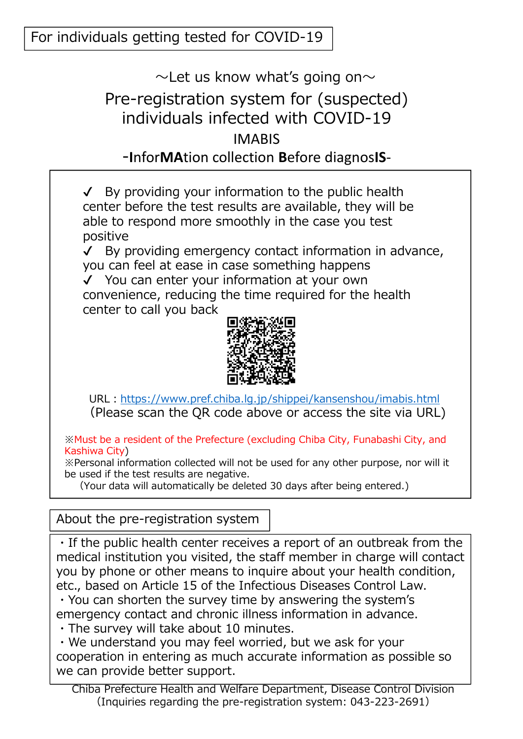## $\sim$ Let us know what's going on $\sim$ Pre-registration system for (suspected) individuals infected with COVID-19 IMABIS -**I**nfor**MA**tion collection **B**efore diagnos**IS**-

 $\checkmark$  By providing your information to the public health center before the test results are available, they will be able to respond more smoothly in the case you test positive

✔ By providing emergency contact information in advance, you can feel at ease in case something happens ✔ You can enter your information at your own

convenience, reducing the time required for the health center to call you back



URL:https://www.pref.chiba.lg.jp/shippei/kansenshou/imabis.html (Please scan the QR code above or access the site via URL)

※Must be a resident of the Prefecture (excluding Chiba City, Funabashi City, and Kashiwa City)

※Personal information collected will not be used for any other purpose, nor will it be used if the test results are negative.

(Your data will automatically be deleted 30 days after being entered.)

About the pre-registration system

・If the public health center receives a report of an outbreak from the medical institution you visited, the staff member in charge will contact you by phone or other means to inquire about your health condition, etc., based on Article 15 of the Infectious Diseases Control Law.

・You can shorten the survey time by answering the system's emergency contact and chronic illness information in advance.

・The survey will take about 10 minutes.

・We understand you may feel worried, but we ask for your cooperation in entering as much accurate information as possible so we can provide better support.

Chiba Prefecture Health and Welfare Department, Disease Control Division (Inquiries regarding the pre-registration system: 043-223-2691)